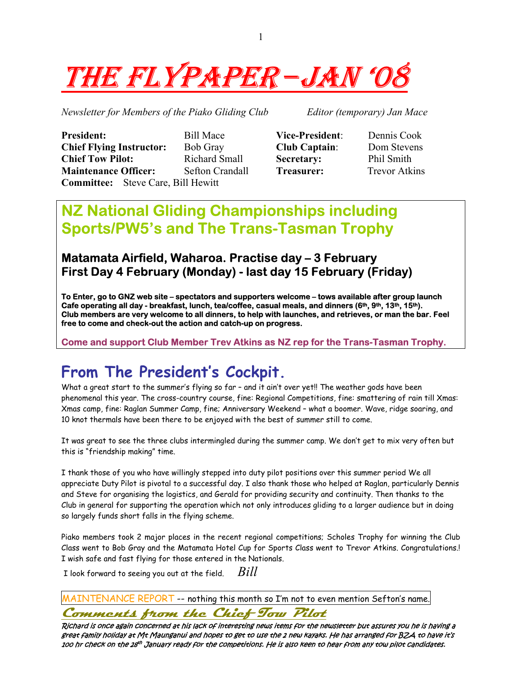

*Newsletter for Members of the Piako Gliding Club Editor (temporary) Jan Mace* 

**President:** Bill Mace **Vice-President**: Dennis Cook **Chief Flying Instructor:** Bob Gray **Club Captain**: Dom Stevens **Chief Tow Pilot:** Richard Small **Secretary:** Phil Smith **Maintenance Officer:** Sefton Crandall **Treasurer:** Trevor Atkins **Committee:** Steve Care, Bill Hewitt

# **NZ National Gliding Championships including Sports/PW5's and The Trans-Tasman Trophy**

## **Matamata Airfield, Waharoa. Practise day – 3 February First Day 4 February (Monday) - last day 15 February (Friday)**

**To Enter, go to GNZ web site – spectators and supporters welcome – tows available after group launch**  Cafe operating all day - breakfast, lunch, tea/coffee, casual meals, and dinners (6<sup>th</sup>, 9<sup>th</sup>, 13<sup>th</sup>, 15<sup>th</sup>). **Club members are very welcome to all dinners, to help with launches, and retrieves, or man the bar. Feel free to come and check-out the action and catch-up on progress.** 

**Come and support Club Member Trev Atkins as NZ rep for the Trans-Tasman Trophy.** 

# **From The President's Cockpit.**

What a great start to the summer's flying so far - and it ain't over yet!! The weather gods have been phenomenal this year. The cross-country course, fine: Regional Competitions, fine: smattering of rain till Xmas: Xmas camp, fine: Raglan Summer Camp, fine; Anniversary Weekend – what a boomer. Wave, ridge soaring, and 10 knot thermals have been there to be enjoyed with the best of summer still to come.

It was great to see the three clubs intermingled during the summer camp. We don't get to mix very often but this is "friendship making" time.

I thank those of you who have willingly stepped into duty pilot positions over this summer period We all appreciate Duty Pilot is pivotal to a successful day. I also thank those who helped at Raglan, particularly Dennis and Steve for organising the logistics, and Gerald for providing security and continuity. Then thanks to the Club in general for supporting the operation which not only introduces gliding to a larger audience but in doing so largely funds short falls in the flying scheme.

Piako members took 2 major places in the recent regional competitions; Scholes Trophy for winning the Club Class went to Bob Gray and the Matamata Hotel Cup for Sports Class went to Trevor Atkins. Congratulations.! I wish safe and fast flying for those entered in the Nationals.

I look forward to seeing you out at the field. *Bill* 

MAINTENANCE REPORT -- nothing this month so I'm not to even mention Sefton's name.

**Comments from the Chief Tow Pilot**

Richard is once again concerned at his lack of interesting news items for the newsletter but assures you he is having a great family holiday at Mt Maunganui and hopes to get to use the 2 new kayaks. He has arranged for BZA to have it's 100 hr check on the 28th January ready for the competitions. He is also keen to hear from any tow pilot candidates.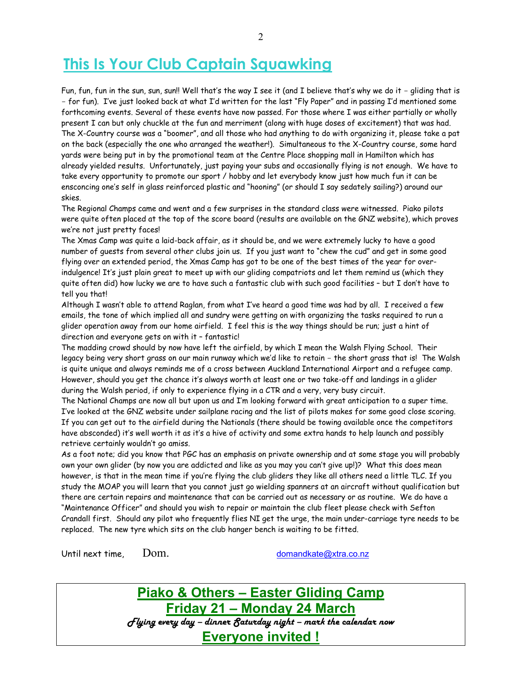# **This Is Your Club Captain Squawking**

Fun, fun, fun in the sun, sun, sun!! Well that's the way I see it (and I believe that's why we do it - gliding that is - for fun). I've just looked back at what I'd written for the last "Fly Paper" and in passing I'd mentioned some forthcoming events. Several of these events have now passed. For those where I was either partially or wholly present I can but only chuckle at the fun and merriment (along with huge doses of excitement) that was had. The X-Country course was a "boomer", and all those who had anything to do with organizing it, please take a pat on the back (especially the one who arranged the weather!). Simultaneous to the X-Country course, some hard yards were being put in by the promotional team at the Centre Place shopping mall in Hamilton which has already yielded results. Unfortunately, just paying your subs and occasionally flying is not enough. We have to take every opportunity to promote our sport / hobby and let everybody know just how much fun it can be ensconcing one's self in glass reinforced plastic and "hooning" (or should I say sedately sailing?) around our skies.

The Regional Champs came and went and a few surprises in the standard class were witnessed. Piako pilots were quite often placed at the top of the score board (results are available on the GNZ website), which proves we're not just pretty faces!

The Xmas Camp was quite a laid-back affair, as it should be, and we were extremely lucky to have a good number of guests from several other clubs join us. If you just want to "chew the cud" and get in some good flying over an extended period, the Xmas Camp has got to be one of the best times of the year for overindulgence! It's just plain great to meet up with our gliding compatriots and let them remind us (which they quite often did) how lucky we are to have such a fantastic club with such good facilities – but I don't have to tell you that!

Although I wasn't able to attend Raglan, from what I've heard a good time was had by all. I received a few emails, the tone of which implied all and sundry were getting on with organizing the tasks required to run a glider operation away from our home airfield. I feel this is the way things should be run; just a hint of direction and everyone gets on with it – fantastic!

The madding crowd should by now have left the airfield, by which I mean the Walsh Flying School. Their legacy being very short grass on our main runway which we'd like to retain - the short grass that is! The Walsh is quite unique and always reminds me of a cross between Auckland International Airport and a refugee camp. However, should you get the chance it's always worth at least one or two take-off and landings in a glider during the Walsh period, if only to experience flying in a CTR and a very, very busy circuit.

The National Champs are now all but upon us and I'm looking forward with great anticipation to a super time. I've looked at the GNZ website under sailplane racing and the list of pilots makes for some good close scoring. If you can get out to the airfield during the Nationals (there should be towing available once the competitors have absconded) it's well worth it as it's a hive of activity and some extra hands to help launch and possibly retrieve certainly wouldn't go amiss.

As a foot note; did you know that PGC has an emphasis on private ownership and at some stage you will probably own your own glider (by now you are addicted and like as you may you can't give up!)? What this does mean however, is that in the mean time if you're flying the club gliders they like all others need a little TLC. If you study the MOAP you will learn that you cannot just go wielding spanners at an aircraft without qualification but there are certain repairs and maintenance that can be carried out as necessary or as routine. We do have a "Maintenance Officer" and should you wish to repair or maintain the club fleet please check with Sefton Crandall first. Should any pilot who frequently flies NI get the urge, the main under-carriage tyre needs to be replaced. The new tyre which sits on the club hanger bench is waiting to be fitted.

Until next time, Dom. by a communicate of the domandkate of the state of the Unit of the Unit of the Unit of the Unit of the Unit of the Unit of the Unit of the Unit of the Unit of the Unit of the Unit of the Unit of the U

ı

**Piako & Others – Easter Gliding Camp Friday 21 – Monday 24 March** *Flying every day – dinner Saturday night – mark the calendar now*  **Everyone invited !**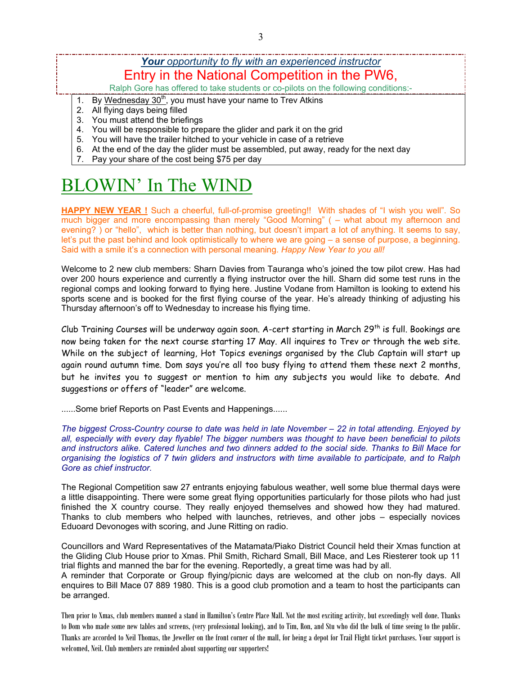## *Your opportunity to fly with an experienced instructor* Entry in the National Competition in the PW6,

Ralph Gore has offered to take students or co-pilots on the following conditions:-

- 1. By Wednesday  $30<sup>th</sup>$ , you must have your name to Trev Atkins
- 2. All flying days being filled

- 3. You must attend the briefings
- 4. You will be responsible to prepare the glider and park it on the grid
- 5. You will have the trailer hitched to your vehicle in case of a retrieve
- 6. At the end of the day the glider must be assembled, put away, ready for the next day
- 7. Pay your share of the cost being \$75 per day

# BLOWIN' In The WIND

**HAPPY NEW YEAR !** Such a cheerful, full-of-promise greeting!! With shades of "I wish you well". So much bigger and more encompassing than merely "Good Morning" ( – what about my afternoon and evening? ) or "hello", which is better than nothing, but doesn't impart a lot of anything. It seems to say, let's put the past behind and look optimistically to where we are going – a sense of purpose, a beginning. Said with a smile it's a connection with personal meaning. *Happy New Year to you all!* 

Welcome to 2 new club members: Sharn Davies from Tauranga who's joined the tow pilot crew. Has had over 200 hours experience and currently a flying instructor over the hill. Sharn did some test runs in the regional comps and looking forward to flying here. Justine Vodane from Hamilton is looking to extend his sports scene and is booked for the first flying course of the year. He's already thinking of adjusting his Thursday afternoon's off to Wednesday to increase his flying time.

Club Training Courses will be underway again soon. A-cert starting in March 29th is full. Bookings are now being taken for the next course starting 17 May. All inquires to Trev or through the web site. While on the subject of learning, Hot Topics evenings organised by the Club Captain will start up again round autumn time. Dom says you're all too busy flying to attend them these next 2 months, but he invites you to suggest or mention to him any subjects you would like to debate. And suggestions or offers of "leader" are welcome.

......Some brief Reports on Past Events and Happenings......

*The biggest Cross-Country course to date was held in late November – 22 in total attending. Enjoyed by all, especially with every day flyable! The bigger numbers was thought to have been beneficial to pilots and instructors alike. Catered lunches and two dinners added to the social side. Thanks to Bill Mace for organising the logistics of 7 twin gliders and instructors with time available to participate, and to Ralph Gore as chief instructor.* 

The Regional Competition saw 27 entrants enjoying fabulous weather, well some blue thermal days were a little disappointing. There were some great flying opportunities particularly for those pilots who had just finished the X country course. They really enjoyed themselves and showed how they had matured. Thanks to club members who helped with launches, retrieves, and other jobs – especially novices Eduoard Devonoges with scoring, and June Ritting on radio.

Councillors and Ward Representatives of the Matamata/Piako District Council held their Xmas function at the Gliding Club House prior to Xmas. Phil Smith, Richard Small, Bill Mace, and Les Riesterer took up 11 trial flights and manned the bar for the evening. Reportedly, a great time was had by all.

A reminder that Corporate or Group flying/picnic days are welcomed at the club on non-fly days. All enquires to Bill Mace 07 889 1980. This is a good club promotion and a team to host the participants can be arranged.

Then prior to Xmas, club members manned a stand in Hamilton's Centre Place Mall. Not the most exciting activity, but exceedingly well done. Thanks to Dom who made some new tables and screens, (very professional looking), and to Tim, Ron, and Stu who did the bulk of time seeing to the public. Thanks are accorded to Neil Thomas, the Jeweller on the front corner of the mall, for being a depot for Trail Flight ticket purchases. Your support is welcomed, Neil. Club members are reminded about supporting our supporters!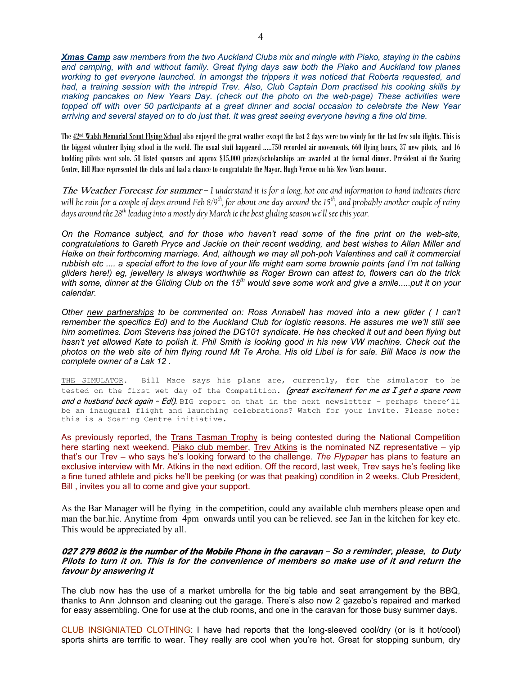*Xmas Camp saw members from the two Auckland Clubs mix and mingle with Piako, staying in the cabins and camping, with and without family. Great flying days saw both the Piako and Auckland tow planes working to get everyone launched. In amongst the trippers it was noticed that Roberta requested, and had, a training session with the intrepid Trev. Also, Club Captain Dom practised his cooking skills by making pancakes on New Years Day. (check out the photo on the web-page) These activities were topped off with over 50 participants at a great dinner and social occasion to celebrate the New Year arriving and several stayed on to do just that. It was great seeing everyone having a fine old time.* 

The 42nd Walsh Memorial Scout Flying School also enjoyed the great weather except the last 2 days were too windy for the last few solo flights. This is the biggest volunteer flying school in the world. The usual stuff happened .....750 recorded air movements, 660 flying hours, 37 new pilots, and 16 budding pilots went solo. 58 listed sponsors and approx \$15,000 prizes/scholarships are awarded at the formal dinner. President of the Soaring Centre, Bill Mace represented the clubs and had a chance to congratulate the Mayor, Hugh Vercoe on his New Years honour.

**The Weather Forecast for summer** *– I understand it is for a long, hot one and information to hand indicates there*  will be rain for a couple of days around Feb 8/9<sup>th</sup>, for about one day around the 15<sup>th</sup>, and probably another couple of rainy *days around the 28th leading into a mostly dry March ie the best gliding season we'll see this year.* 

*On the Romance subject, and for those who haven't read some of the fine print on the web-site, congratulations to Gareth Pryce and Jackie on their recent wedding, and best wishes to Allan Miller and Heike on their forthcoming marriage. And, although we may all poh-poh Valentines and call it commercial rubbish etc .... a special effort to the love of your life might earn some brownie points (and I'm not talking gliders here!) eg, jewellery is always worthwhile as Roger Brown can attest to, flowers can do the trick with some, dinner at the Gliding Club on the 15th would save some work and give a smile.....put it on your calendar.* 

*Other new partnerships to be commented on: Ross Annabell has moved into a new glider ( I can't remember the specifics Ed) and to the Auckland Club for logistic reasons. He assures me we'll still see him sometimes. Dom Stevens has joined the DG101 syndicate. He has checked it out and been flying but*  hasn't yet allowed Kate to polish it. Phil Smith is looking good in his new VW machine. Check out the *photos on the web site of him flying round Mt Te Aroha. His old Libel is for sale. Bill Mace is now the complete owner of a Lak 12 .* 

THE SIMULATOR. Bill Mace says his plans are, currently, for the simulator to be tested on the first wet day of the Competition. (great excitement for me as I get a spare room and a husband back again - Ed!). BIG report on that in the next newsletter - perhaps there'll be an inaugural flight and launching celebrations? Watch for your invite. Please note: this is a Soaring Centre initiative.

As previously reported, the Trans Tasman Trophy is being contested during the National Competition here starting next weekend. Piako club member, Trev Atkins is the nominated NZ representative - yip that's our Trev – who says he's looking forward to the challenge. *The Flypaper* has plans to feature an exclusive interview with Mr. Atkins in the next edition. Off the record, last week, Trev says he's feeling like a fine tuned athlete and picks he'll be peeking (or was that peaking) condition in 2 weeks. Club President, Bill , invites you all to come and give your support.

As the Bar Manager will be flying in the competition, could any available club members please open and man the bar.hic. Anytime from 4pm onwards until you can be relieved. see Jan in the kitchen for key etc. This would be appreciated by all.

#### **027 279 8602 is the number of the Mobile Phone in the caravan – So a reminder, please, to Duty Pilots to turn it on. This is for the convenience of members so make use of it and return the favour by answering it**

The club now has the use of a market umbrella for the big table and seat arrangement by the BBQ, thanks to Ann Johnson and cleaning out the garage. There's also now 2 gazebo's repaired and marked for easy assembling. One for use at the club rooms, and one in the caravan for those busy summer days.

CLUB INSIGNIATED CLOTHING: I have had reports that the long-sleeved cool/dry (or is it hot/cool) sports shirts are terrific to wear. They really are cool when you're hot. Great for stopping sunburn, dry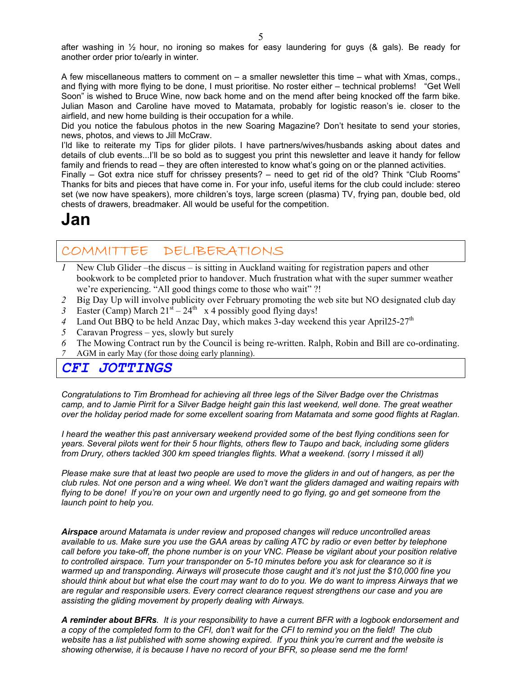after washing in  $\frac{1}{2}$  hour, no ironing so makes for easy laundering for guys (& gals). Be ready for another order prior to/early in winter.

A few miscellaneous matters to comment on – a smaller newsletter this time – what with Xmas, comps., and flying with more flying to be done, I must prioritise. No roster either – technical problems! "Get Well Soon" is wished to Bruce Wine, now back home and on the mend after being knocked off the farm bike. Julian Mason and Caroline have moved to Matamata, probably for logistic reason's ie. closer to the airfield, and new home building is their occupation for a while.

Did you notice the fabulous photos in the new Soaring Magazine? Don't hesitate to send your stories, news, photos, and views to Jill McCraw.

I'ld like to reiterate my Tips for glider pilots. I have partners/wives/husbands asking about dates and details of club events...I'll be so bold as to suggest you print this newsletter and leave it handy for fellow family and friends to read – they are often interested to know what's going on or the planned activities.

Finally – Got extra nice stuff for chrissey presents? – need to get rid of the old? Think "Club Rooms" Thanks for bits and pieces that have come in. For your info, useful items for the club could include: stereo set (we now have speakers), more children's toys, large screen (plasma) TV, frying pan, double bed, old chests of drawers, breadmaker. All would be useful for the competition.

## **Jan**

## COMMITTEE DELIBERATIONS

- *1* New Club Glider –the discus is sitting in Auckland waiting for registration papers and other bookwork to be completed prior to handover. Much frustration what with the super summer weather we're experiencing. "All good things come to those who wait" ?!
- *2* Big Day Up will involve publicity over February promoting the web site but NO designated club day
- 3 Easter (Camp) March  $21<sup>st</sup> 24<sup>th</sup>$  x 4 possibly good flying days!
- 4 Land Out BBQ to be held Anzac Day, which makes 3-day weekend this year April25-27<sup>th</sup>
- *5* Caravan Progress yes, slowly but surely
- *6* The Mowing Contract run by the Council is being re-written. Ralph, Robin and Bill are co-ordinating. *7* AGM in early May (for those doing early planning).

### *CFI JOTTINGS*

*Congratulations to Tim Bromhead for achieving all three legs of the Silver Badge over the Christmas camp, and to Jamie Pirrit for a Silver Badge height gain this last weekend, well done. The great weather over the holiday period made for some excellent soaring from Matamata and some good flights at Raglan.* 

*I heard the weather this past anniversary weekend provided some of the best flying conditions seen for years. Several pilots went for their 5 hour flights, others flew to Taupo and back, including some gliders from Drury, others tackled 300 km speed triangles flights. What a weekend. (sorry I missed it all)* 

*Please make sure that at least two people are used to move the gliders in and out of hangers, as per the club rules. Not one person and a wing wheel. We don't want the gliders damaged and waiting repairs with flying to be done! If you're on your own and urgently need to go flying, go and get someone from the launch point to help you.* 

*Airspace around Matamata is under review and proposed changes will reduce uncontrolled areas available to us. Make sure you use the GAA areas by calling ATC by radio or even better by telephone call before you take-off, the phone number is on your VNC. Please be vigilant about your position relative to controlled airspace. Turn your transponder on 5-10 minutes before you ask for clearance so it is warmed up and transponding. Airways will prosecute those caught and it's not just the \$10,000 fine you should think about but what else the court may want to do to you. We do want to impress Airways that we are regular and responsible users. Every correct clearance request strengthens our case and you are assisting the gliding movement by properly dealing with Airways.* 

*A reminder about BFRs. It is your responsibility to have a current BFR with a logbook endorsement and a copy of the completed form to the CFI, don't wait for the CFI to remind you on the field! The club website has a list published with some showing expired. If you think you're current and the website is showing otherwise, it is because I have no record of your BFR, so please send me the form!*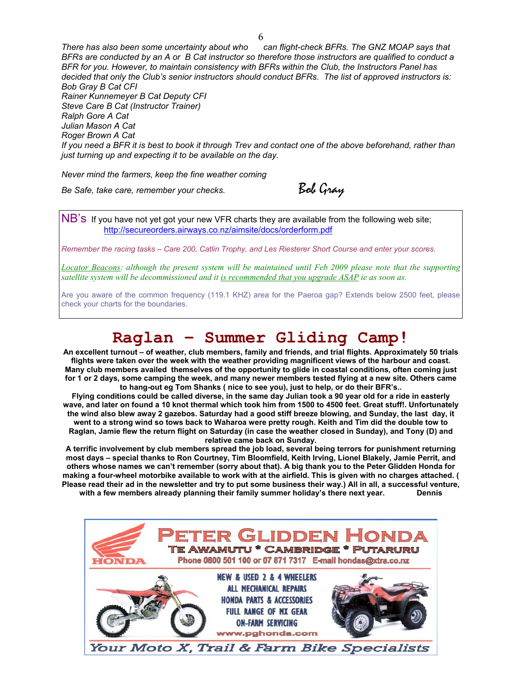*There has also been some uncertainty about who can flight-check BFRs. The GNZ MOAP says that BFRs are conducted by an A or B Cat instructor so therefore those instructors are qualified to conduct a BFR for you. However, to maintain consistency with BFRs within the Club, the Instructors Panel has decided that only the Club's senior instructors should conduct BFRs. The list of approved instructors is: Bob Gray B Cat CFI Rainer Kunnemeyer B Cat Deputy CFI Steve Care B Cat (Instructor Trainer) Ralph Gore A Cat Julian Mason A Cat Roger Brown A Cat If you need a BFR it is best to book it through Trev and contact one of the above beforehand, rather than just turning up and expecting it to be available on the day.* 

*Never mind the farmers, keep the fine weather coming*

*Be Safe, take care, remember your checks.* **Bob Gray** 

NB's If you have not yet got your new VFR charts they are available from the following web site; http://secureorders.airways.co.nz/aimsite/docs/orderform.pdf

*Remember the racing tasks – Care 200, Catlin Trophy, and Les Riesterer Short Course and enter your scores.* 

*Locator Beacons: although the present system will be maintained until Feb 2009 please note that the supporting satellite system will be decommissioned and it is recommended that you upgrade ASAP ie as soon as.* 

Are you aware of the common frequency (119.1 KHZ) area for the Paeroa gap? Extends below 2500 feet, please check your charts for the boundaries.

## **Raglan – Summer Gliding Camp!**

**An excellent turnout – of weather, club members, family and friends, and trial flights. Approximately 50 trials flights were taken over the week with the weather providing magnificent views of the harbour and coast. Many club members availed themselves of the opportunity to glide in coastal conditions, often coming just for 1 or 2 days, some camping the week, and many newer members tested flying at a new site. Others came to hang-out eg Tom Shanks ( nice to see you), just to help, or do their BFR's..** 

**Flying conditions could be called diverse, in the same day Julian took a 90 year old for a ride in easterly wave, and later on found a 10 knot thermal which took him from 1500 to 4500 feet. Great stuff!. Unfortunately the wind also blew away 2 gazebos. Saturday had a good stiff breeze blowing, and Sunday, the last day, it went to a strong wind so tows back to Waharoa were pretty rough. Keith and Tim did the double tow to Raglan, Jamie flew the return flight on Saturday (in case the weather closed in Sunday), and Tony (D) and relative came back on Sunday.** 

**A terrific involvement by club members spread the job load, several being terrors for punishment returning most days – special thanks to Ron Courtney, Tim Bloomfield, Keith Irving, Lionel Blakely, Jamie Perrit, and others whose names we can't remember (sorry about that). A big thank you to the Peter Glidden Honda for making a four-wheel motorbike available to work with at the airfield. This is given with no charges attached. ( Please read their ad in the newsletter and try to put some business their way.) All in all, a successful venture,**  with a few members already planning their family summer holiday's there next year. Dennis